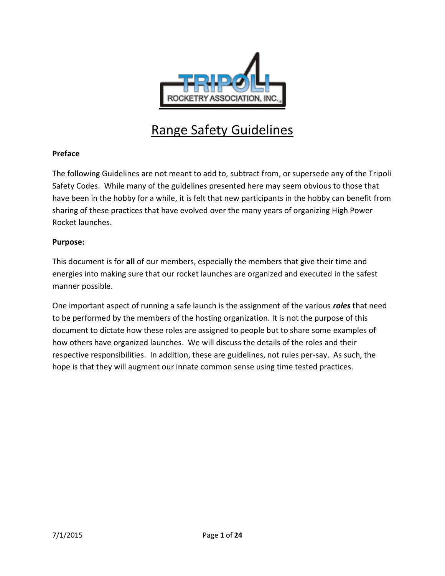

# Range Safety Guidelines

#### **Preface**

The following Guidelines are not meant to add to, subtract from, or supersede any of the Tripoli Safety Codes. While many of the guidelines presented here may seem obvious to those that have been in the hobby for a while, it is felt that new participants in the hobby can benefit from sharing of these practices that have evolved over the many years of organizing High Power Rocket launches.

#### **Purpose:**

This document is for **all** of our members, especially the members that give their time and energies into making sure that our rocket launches are organized and executed in the safest manner possible.

One important aspect of running a safe launch is the assignment of the various *roles* that need to be performed by the members of the hosting organization. It is not the purpose of this document to dictate how these roles are assigned to people but to share some examples of how others have organized launches. We will discuss the details of the roles and their respective responsibilities. In addition, these are guidelines, not rules per-say. As such, the hope is that they will augment our innate common sense using time tested practices.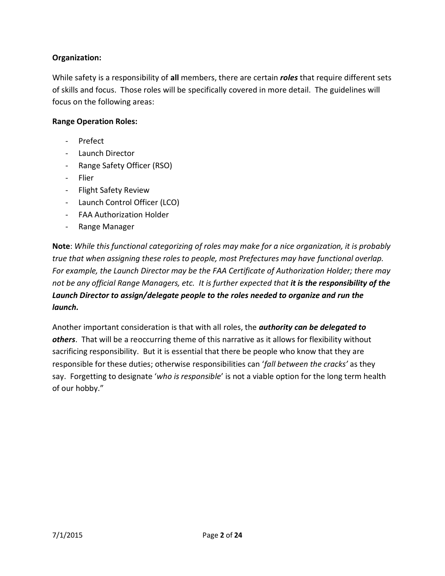#### **Organization:**

While safety is a responsibility of **all** members, there are certain *roles* that require different sets of skills and focus. Those roles will be specifically covered in more detail. The guidelines will focus on the following areas:

#### **Range Operation Roles:**

- Prefect
- Launch Director
- Range Safety Officer (RSO)
- Flier
- Flight Safety Review
- Launch Control Officer (LCO)
- FAA Authorization Holder
- Range Manager

**Note**: *While this functional categorizing of roles may make for a nice organization, it is probably true that when assigning these roles to people, most Prefectures may have functional overlap. For example, the Launch Director may be the FAA Certificate of Authorization Holder; there may not be any official Range Managers, etc. It is further expected that it is the responsibility of the Launch Director to assign/delegate people to the roles needed to organize and run the launch.*

Another important consideration is that with all roles, the *authority can be delegated to others*. That will be a reoccurring theme of this narrative as it allows for flexibility without sacrificing responsibility. But it is essential that there be people who know that they are responsible for these duties; otherwise responsibilities can '*fall between the cracks'* as they say. Forgetting to designate '*who is responsible*' is not a viable option for the long term health of our hobby."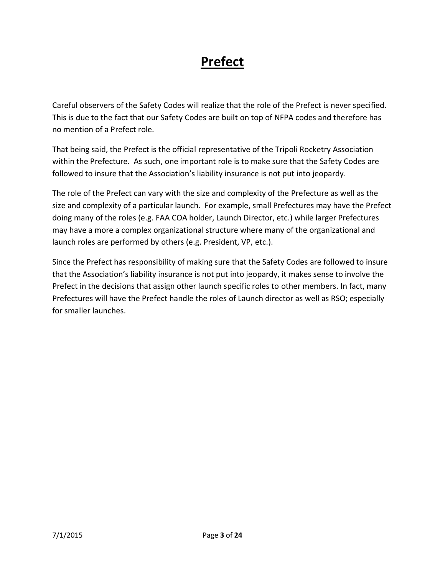# **Prefect**

Careful observers of the Safety Codes will realize that the role of the Prefect is never specified. This is due to the fact that our Safety Codes are built on top of NFPA codes and therefore has no mention of a Prefect role.

That being said, the Prefect is the official representative of the Tripoli Rocketry Association within the Prefecture. As such, one important role is to make sure that the Safety Codes are followed to insure that the Association's liability insurance is not put into jeopardy.

The role of the Prefect can vary with the size and complexity of the Prefecture as well as the size and complexity of a particular launch. For example, small Prefectures may have the Prefect doing many of the roles (e.g. FAA COA holder, Launch Director, etc.) while larger Prefectures may have a more a complex organizational structure where many of the organizational and launch roles are performed by others (e.g. President, VP, etc.).

Since the Prefect has responsibility of making sure that the Safety Codes are followed to insure that the Association's liability insurance is not put into jeopardy, it makes sense to involve the Prefect in the decisions that assign other launch specific roles to other members. In fact, many Prefectures will have the Prefect handle the roles of Launch director as well as RSO; especially for smaller launches.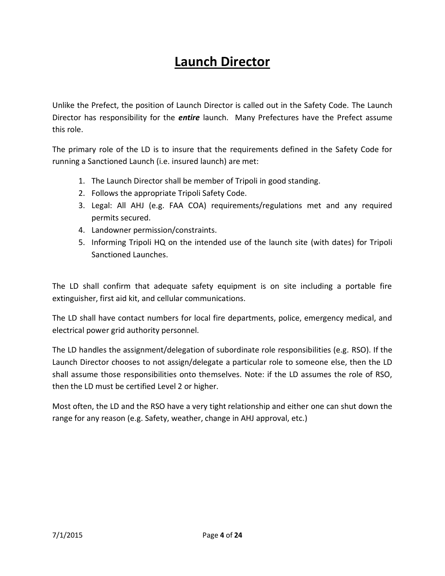# **Launch Director**

Unlike the Prefect, the position of Launch Director is called out in the Safety Code. The Launch Director has responsibility for the *entire* launch. Many Prefectures have the Prefect assume this role.

The primary role of the LD is to insure that the requirements defined in the Safety Code for running a Sanctioned Launch (i.e. insured launch) are met:

- 1. The Launch Director shall be member of Tripoli in good standing.
- 2. Follows the appropriate Tripoli Safety Code.
- 3. Legal: All AHJ (e.g. FAA COA) requirements/regulations met and any required permits secured.
- 4. Landowner permission/constraints.
- 5. Informing Tripoli HQ on the intended use of the launch site (with dates) for Tripoli Sanctioned Launches.

The LD shall confirm that adequate safety equipment is on site including a portable fire extinguisher, first aid kit, and cellular communications.

The LD shall have contact numbers for local fire departments, police, emergency medical, and electrical power grid authority personnel.

The LD handles the assignment/delegation of subordinate role responsibilities (e.g. RSO). If the Launch Director chooses to not assign/delegate a particular role to someone else, then the LD shall assume those responsibilities onto themselves. Note: if the LD assumes the role of RSO, then the LD must be certified Level 2 or higher.

Most often, the LD and the RSO have a very tight relationship and either one can shut down the range for any reason (e.g. Safety, weather, change in AHJ approval, etc.)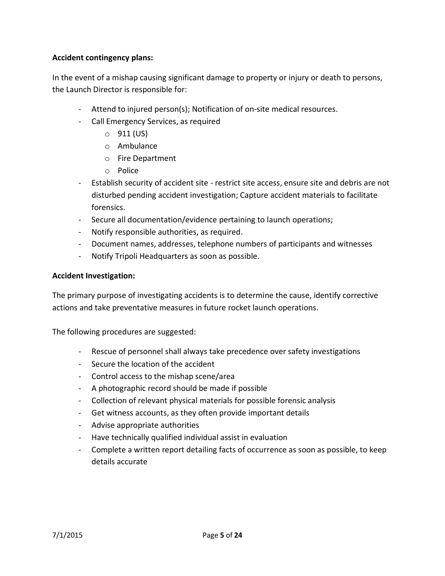#### **Accident contingency plans:**

In the event of a mishap causing significant damage to property or injury or death to persons, the Launch Director is responsible for:

- Attend to injured person(s); Notification of on-site medical resources.
- Call Emergency Services, as required
	- $\circ$  911 (US)
	- o Ambulance
	- o Fire Department
	- o Police
- Establish security of accident site restrict site access, ensure site and debris are not disturbed pending accident investigation; Capture accident materials to facilitate forensics.
- Secure all documentation/evidence pertaining to launch operations;
- Notify responsible authorities, as required.
- Document names, addresses, telephone numbers of participants and witnesses
- Notify Tripoli Headquarters as soon as possible.

#### **Accident Investigation:**

The primary purpose of investigating accidents is to determine the cause, identify corrective actions and take preventative measures in future rocket launch operations.

The following procedures are suggested:

- Rescue of personnel shall always take precedence over safety investigations
- Secure the location of the accident
- Control access to the mishap scene/area
- A photographic record should be made if possible
- Collection of relevant physical materials for possible forensic analysis
- Get witness accounts, as they often provide important details
- Advise appropriate authorities
- Have technically qualified individual assist in evaluation
- Complete a written report detailing facts of occurrence as soon as possible, to keep details accurate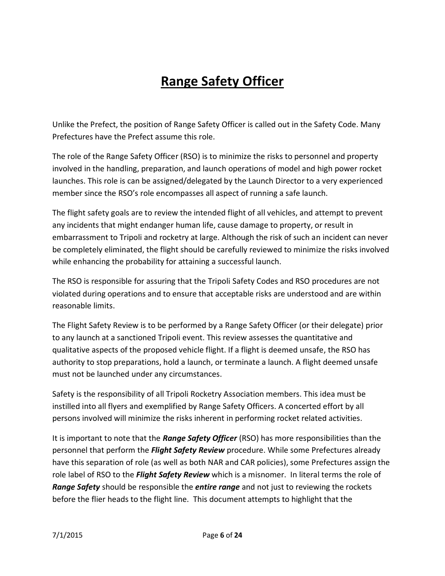# **Range Safety Officer**

Unlike the Prefect, the position of Range Safety Officer is called out in the Safety Code. Many Prefectures have the Prefect assume this role.

The role of the Range Safety Officer (RSO) is to minimize the risks to personnel and property involved in the handling, preparation, and launch operations of model and high power rocket launches. This role is can be assigned/delegated by the Launch Director to a very experienced member since the RSO's role encompasses all aspect of running a safe launch.

The flight safety goals are to review the intended flight of all vehicles, and attempt to prevent any incidents that might endanger human life, cause damage to property, or result in embarrassment to Tripoli and rocketry at large. Although the risk of such an incident can never be completely eliminated, the flight should be carefully reviewed to minimize the risks involved while enhancing the probability for attaining a successful launch.

The RSO is responsible for assuring that the Tripoli Safety Codes and RSO procedures are not violated during operations and to ensure that acceptable risks are understood and are within reasonable limits.

The Flight Safety Review is to be performed by a Range Safety Officer (or their delegate) prior to any launch at a sanctioned Tripoli event. This review assesses the quantitative and qualitative aspects of the proposed vehicle flight. If a flight is deemed unsafe, the RSO has authority to stop preparations, hold a launch, or terminate a launch. A flight deemed unsafe must not be launched under any circumstances.

Safety is the responsibility of all Tripoli Rocketry Association members. This idea must be instilled into all flyers and exemplified by Range Safety Officers. A concerted effort by all persons involved will minimize the risks inherent in performing rocket related activities.

It is important to note that the *Range Safety Officer* (RSO) has more responsibilities than the personnel that perform the *Flight Safety Review* procedure. While some Prefectures already have this separation of role (as well as both NAR and CAR policies), some Prefectures assign the role label of RSO to the *Flight Safety Review* which is a misnomer. In literal terms the role of *Range Safety* should be responsible the *entire range* and not just to reviewing the rockets before the flier heads to the flight line. This document attempts to highlight that the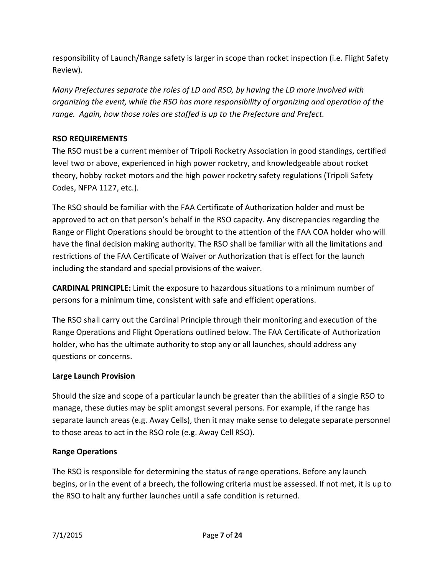responsibility of Launch/Range safety is larger in scope than rocket inspection (i.e. Flight Safety Review).

*Many Prefectures separate the roles of LD and RSO, by having the LD more involved with organizing the event, while the RSO has more responsibility of organizing and operation of the range. Again, how those roles are staffed is up to the Prefecture and Prefect.*

### **RSO REQUIREMENTS**

The RSO must be a current member of Tripoli Rocketry Association in good standings, certified level two or above, experienced in high power rocketry, and knowledgeable about rocket theory, hobby rocket motors and the high power rocketry safety regulations (Tripoli Safety Codes, NFPA 1127, etc.).

The RSO should be familiar with the FAA Certificate of Authorization holder and must be approved to act on that person's behalf in the RSO capacity. Any discrepancies regarding the Range or Flight Operations should be brought to the attention of the FAA COA holder who will have the final decision making authority. The RSO shall be familiar with all the limitations and restrictions of the FAA Certificate of Waiver or Authorization that is effect for the launch including the standard and special provisions of the waiver.

**CARDINAL PRINCIPLE:** Limit the exposure to hazardous situations to a minimum number of persons for a minimum time, consistent with safe and efficient operations.

The RSO shall carry out the Cardinal Principle through their monitoring and execution of the Range Operations and Flight Operations outlined below. The FAA Certificate of Authorization holder, who has the ultimate authority to stop any or all launches, should address any questions or concerns.

### **Large Launch Provision**

Should the size and scope of a particular launch be greater than the abilities of a single RSO to manage, these duties may be split amongst several persons. For example, if the range has separate launch areas (e.g. Away Cells), then it may make sense to delegate separate personnel to those areas to act in the RSO role (e.g. Away Cell RSO).

### **Range Operations**

The RSO is responsible for determining the status of range operations. Before any launch begins, or in the event of a breech, the following criteria must be assessed. If not met, it is up to the RSO to halt any further launches until a safe condition is returned.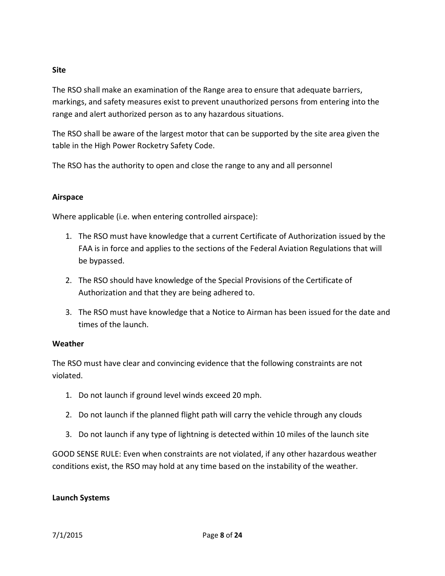#### **Site**

The RSO shall make an examination of the Range area to ensure that adequate barriers, markings, and safety measures exist to prevent unauthorized persons from entering into the range and alert authorized person as to any hazardous situations.

The RSO shall be aware of the largest motor that can be supported by the site area given the table in the High Power Rocketry Safety Code.

The RSO has the authority to open and close the range to any and all personnel

### **Airspace**

Where applicable (i.e. when entering controlled airspace):

- 1. The RSO must have knowledge that a current Certificate of Authorization issued by the FAA is in force and applies to the sections of the Federal Aviation Regulations that will be bypassed.
- 2. The RSO should have knowledge of the Special Provisions of the Certificate of Authorization and that they are being adhered to.
- 3. The RSO must have knowledge that a Notice to Airman has been issued for the date and times of the launch.

#### **Weather**

The RSO must have clear and convincing evidence that the following constraints are not violated.

- 1. Do not launch if ground level winds exceed 20 mph.
- 2. Do not launch if the planned flight path will carry the vehicle through any clouds
- 3. Do not launch if any type of lightning is detected within 10 miles of the launch site

GOOD SENSE RULE: Even when constraints are not violated, if any other hazardous weather conditions exist, the RSO may hold at any time based on the instability of the weather.

#### **Launch Systems**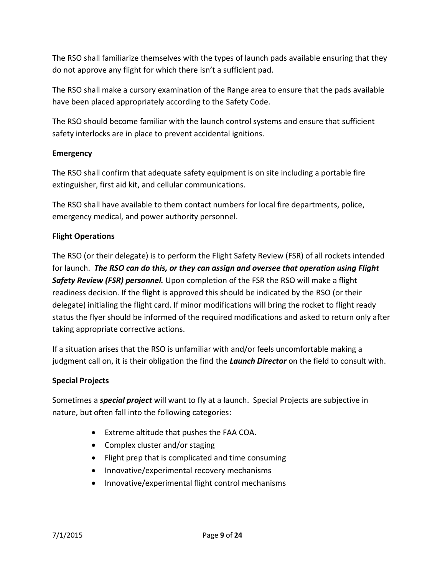The RSO shall familiarize themselves with the types of launch pads available ensuring that they do not approve any flight for which there isn't a sufficient pad.

The RSO shall make a cursory examination of the Range area to ensure that the pads available have been placed appropriately according to the Safety Code.

The RSO should become familiar with the launch control systems and ensure that sufficient safety interlocks are in place to prevent accidental ignitions.

### **Emergency**

The RSO shall confirm that adequate safety equipment is on site including a portable fire extinguisher, first aid kit, and cellular communications.

The RSO shall have available to them contact numbers for local fire departments, police, emergency medical, and power authority personnel.

### **Flight Operations**

The RSO (or their delegate) is to perform the Flight Safety Review (FSR) of all rockets intended for launch. *The RSO can do this, or they can assign and oversee that operation using Flight Safety Review (FSR) personnel.* Upon completion of the FSR the RSO will make a flight readiness decision. If the flight is approved this should be indicated by the RSO (or their delegate) initialing the flight card. If minor modifications will bring the rocket to flight ready status the flyer should be informed of the required modifications and asked to return only after taking appropriate corrective actions.

If a situation arises that the RSO is unfamiliar with and/or feels uncomfortable making a judgment call on, it is their obligation the find the *Launch Director* on the field to consult with.

#### **Special Projects**

Sometimes a *special project* will want to fly at a launch. Special Projects are subjective in nature, but often fall into the following categories:

- Extreme altitude that pushes the FAA COA.
- Complex cluster and/or staging
- Flight prep that is complicated and time consuming
- Innovative/experimental recovery mechanisms
- Innovative/experimental flight control mechanisms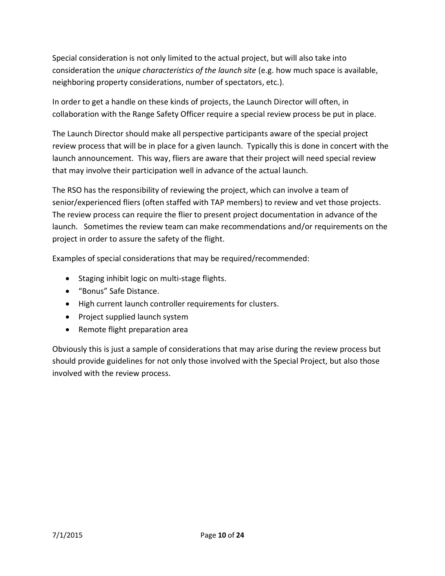Special consideration is not only limited to the actual project, but will also take into consideration the *unique characteristics of the launch site* (e.g. how much space is available, neighboring property considerations, number of spectators, etc.).

In order to get a handle on these kinds of projects, the Launch Director will often, in collaboration with the Range Safety Officer require a special review process be put in place.

The Launch Director should make all perspective participants aware of the special project review process that will be in place for a given launch. Typically this is done in concert with the launch announcement. This way, fliers are aware that their project will need special review that may involve their participation well in advance of the actual launch.

The RSO has the responsibility of reviewing the project, which can involve a team of senior/experienced fliers (often staffed with TAP members) to review and vet those projects. The review process can require the flier to present project documentation in advance of the launch. Sometimes the review team can make recommendations and/or requirements on the project in order to assure the safety of the flight.

Examples of special considerations that may be required/recommended:

- Staging inhibit logic on multi-stage flights.
- "Bonus" Safe Distance.
- High current launch controller requirements for clusters.
- Project supplied launch system
- Remote flight preparation area

Obviously this is just a sample of considerations that may arise during the review process but should provide guidelines for not only those involved with the Special Project, but also those involved with the review process.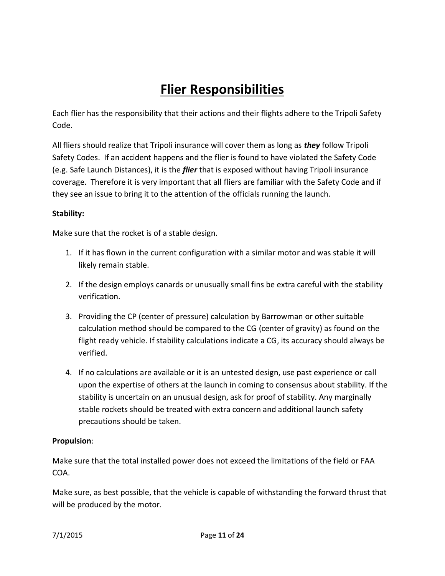# **Flier Responsibilities**

Each flier has the responsibility that their actions and their flights adhere to the Tripoli Safety Code.

All fliers should realize that Tripoli insurance will cover them as long as *they* follow Tripoli Safety Codes. If an accident happens and the flier is found to have violated the Safety Code (e.g. Safe Launch Distances), it is the *flier* that is exposed without having Tripoli insurance coverage. Therefore it is very important that all fliers are familiar with the Safety Code and if they see an issue to bring it to the attention of the officials running the launch.

#### **Stability:**

Make sure that the rocket is of a stable design.

- 1. If it has flown in the current configuration with a similar motor and was stable it will likely remain stable.
- 2. If the design employs canards or unusually small fins be extra careful with the stability verification.
- 3. Providing the CP (center of pressure) calculation by Barrowman or other suitable calculation method should be compared to the CG (center of gravity) as found on the flight ready vehicle. If stability calculations indicate a CG, its accuracy should always be verified.
- 4. If no calculations are available or it is an untested design, use past experience or call upon the expertise of others at the launch in coming to consensus about stability. If the stability is uncertain on an unusual design, ask for proof of stability. Any marginally stable rockets should be treated with extra concern and additional launch safety precautions should be taken.

#### **Propulsion**:

Make sure that the total installed power does not exceed the limitations of the field or FAA COA.

Make sure, as best possible, that the vehicle is capable of withstanding the forward thrust that will be produced by the motor.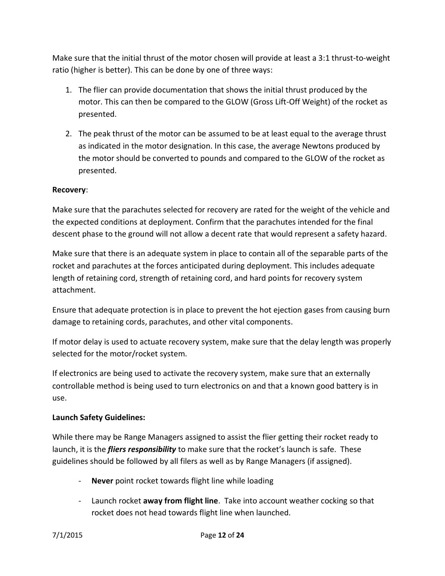Make sure that the initial thrust of the motor chosen will provide at least a 3:1 thrust-to-weight ratio (higher is better). This can be done by one of three ways:

- 1. The flier can provide documentation that shows the initial thrust produced by the motor. This can then be compared to the GLOW (Gross Lift-Off Weight) of the rocket as presented.
- 2. The peak thrust of the motor can be assumed to be at least equal to the average thrust as indicated in the motor designation. In this case, the average Newtons produced by the motor should be converted to pounds and compared to the GLOW of the rocket as presented.

#### **Recovery**:

Make sure that the parachutes selected for recovery are rated for the weight of the vehicle and the expected conditions at deployment. Confirm that the parachutes intended for the final descent phase to the ground will not allow a decent rate that would represent a safety hazard.

Make sure that there is an adequate system in place to contain all of the separable parts of the rocket and parachutes at the forces anticipated during deployment. This includes adequate length of retaining cord, strength of retaining cord, and hard points for recovery system attachment.

Ensure that adequate protection is in place to prevent the hot ejection gases from causing burn damage to retaining cords, parachutes, and other vital components.

If motor delay is used to actuate recovery system, make sure that the delay length was properly selected for the motor/rocket system.

If electronics are being used to activate the recovery system, make sure that an externally controllable method is being used to turn electronics on and that a known good battery is in use.

#### **Launch Safety Guidelines:**

While there may be Range Managers assigned to assist the flier getting their rocket ready to launch, it is the *fliers responsibility* to make sure that the rocket's launch is safe. These guidelines should be followed by all filers as well as by Range Managers (if assigned).

- **Never** point rocket towards flight line while loading
- Launch rocket **away from flight line**. Take into account weather cocking so that rocket does not head towards flight line when launched.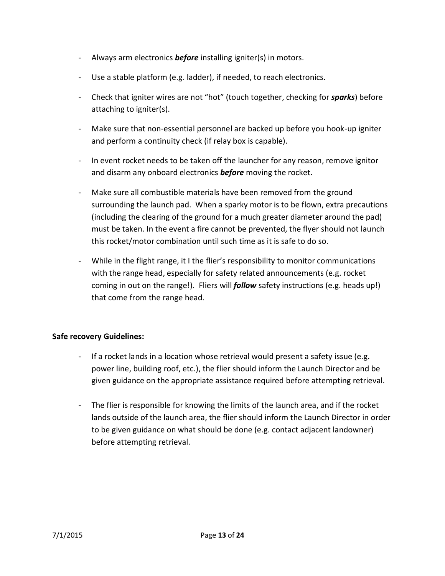- Always arm electronics *before* installing igniter(s) in motors.
- Use a stable platform (e.g. ladder), if needed, to reach electronics.
- Check that igniter wires are not "hot" (touch together, checking for *sparks*) before attaching to igniter(s).
- Make sure that non-essential personnel are backed up before you hook-up igniter and perform a continuity check (if relay box is capable).
- In event rocket needs to be taken off the launcher for any reason, remove ignitor and disarm any onboard electronics *before* moving the rocket.
- Make sure all combustible materials have been removed from the ground surrounding the launch pad. When a sparky motor is to be flown, extra precautions (including the clearing of the ground for a much greater diameter around the pad) must be taken. In the event a fire cannot be prevented, the flyer should not launch this rocket/motor combination until such time as it is safe to do so.
- While in the flight range, it I the flier's responsibility to monitor communications with the range head, especially for safety related announcements (e.g. rocket coming in out on the range!). Fliers will *follow* safety instructions (e.g. heads up!) that come from the range head.

#### **Safe recovery Guidelines:**

- If a rocket lands in a location whose retrieval would present a safety issue (e.g. power line, building roof, etc.), the flier should inform the Launch Director and be given guidance on the appropriate assistance required before attempting retrieval.
- The flier is responsible for knowing the limits of the launch area, and if the rocket lands outside of the launch area, the flier should inform the Launch Director in order to be given guidance on what should be done (e.g. contact adjacent landowner) before attempting retrieval.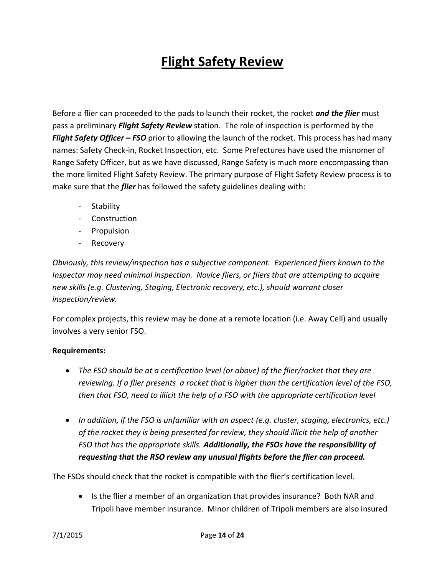# **Flight Safety Review**

Before a flier can proceeded to the pads to launch their rocket, the rocket *and the flier* must pass a preliminary *Flight Safety Review* station. The role of inspection is performed by the *Flight Safety Officer – FSO* prior to allowing the launch of the rocket. This process has had many names: Safety Check-in, Rocket Inspection, etc. Some Prefectures have used the misnomer of Range Safety Officer, but as we have discussed, Range Safety is much more encompassing than the more limited Flight Safety Review. The primary purpose of Flight Safety Review process is to make sure that the *flier* has followed the safety guidelines dealing with:

- Stability
- Construction
- Propulsion
- Recovery

*Obviously, this review/inspection has a subjective component. Experienced fliers known to the Inspector may need minimal inspection. Novice fliers, or fliers that are attempting to acquire new skills (e.g. Clustering, Staging, Electronic recovery, etc.), should warrant closer inspection/review.*

For complex projects, this review may be done at a remote location (i.e. Away Cell) and usually involves a very senior FSO.

#### **Requirements:**

- *The FSO should be at a certification level (or above) of the flier/rocket that they are reviewing. If a flier presents a rocket that is higher than the certification level of the FSO, then that FSO, need to illicit the help of a FSO with the appropriate certification level*
- *In addition, if the FSO is unfamiliar with an aspect (e.g. cluster, staging, electronics, etc.) of the rocket they is being presented for review, they should illicit the help of another FSO that has the appropriate skills. Additionally, the FSOs have the responsibility of requesting that the RSO review any unusual flights before the flier can proceed.*

The FSOs should check that the rocket is compatible with the flier's certification level.

• Is the flier a member of an organization that provides insurance? Both NAR and Tripoli have member insurance. Minor children of Tripoli members are also insured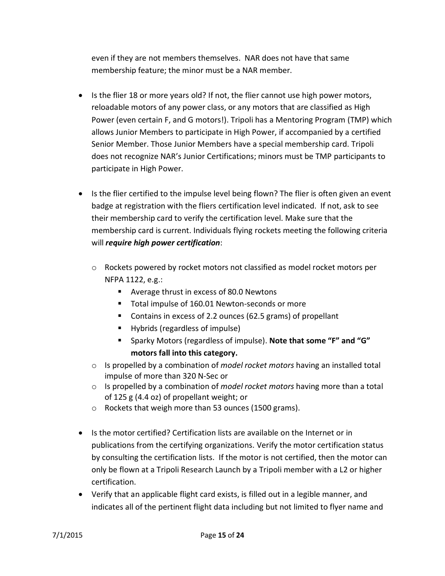even if they are not members themselves. NAR does not have that same membership feature; the minor must be a NAR member.

- Is the flier 18 or more years old? If not, the flier cannot use high power motors, reloadable motors of any power class, or any motors that are classified as High Power (even certain F, and G motors!). Tripoli has a Mentoring Program (TMP) which allows Junior Members to participate in High Power, if accompanied by a certified Senior Member. Those Junior Members have a special membership card. Tripoli does not recognize NAR's Junior Certifications; minors must be TMP participants to participate in High Power.
- Is the flier certified to the impulse level being flown? The flier is often given an event badge at registration with the fliers certification level indicated. If not, ask to see their membership card to verify the certification level. Make sure that the membership card is current. Individuals flying rockets meeting the following criteria will *require high power certification*:
	- $\circ$  Rockets powered by rocket motors not classified as model rocket motors per NFPA 1122, e.g.:
		- Average thrust in excess of 80.0 Newtons
		- Total impulse of 160.01 Newton-seconds or more
		- Contains in excess of 2.2 ounces (62.5 grams) of propellant
		- Hybrids (regardless of impulse)
		- Sparky Motors (regardless of impulse). **Note that some "F" and "G" motors fall into this category.**
	- o Is propelled by a combination of *model rocket motors* having an installed total impulse of more than 320 N-Sec or
	- o Is propelled by a combination of *model rocket motors* having more than a total of 125 g (4.4 oz) of propellant weight; or
	- o Rockets that weigh more than 53 ounces (1500 grams).
- Is the motor certified? Certification lists are available on the Internet or in publications from the certifying organizations. Verify the motor certification status by consulting the certification lists. If the motor is not certified, then the motor can only be flown at a Tripoli Research Launch by a Tripoli member with a L2 or higher certification.
- Verify that an applicable flight card exists, is filled out in a legible manner, and indicates all of the pertinent flight data including but not limited to flyer name and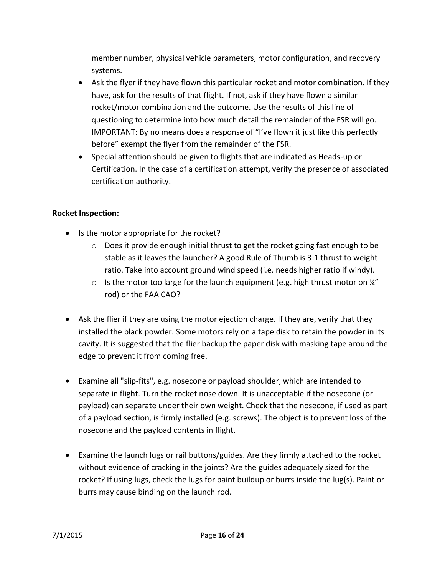member number, physical vehicle parameters, motor configuration, and recovery systems.

- Ask the flyer if they have flown this particular rocket and motor combination. If they have, ask for the results of that flight. If not, ask if they have flown a similar rocket/motor combination and the outcome. Use the results of this line of questioning to determine into how much detail the remainder of the FSR will go. IMPORTANT: By no means does a response of "I've flown it just like this perfectly before" exempt the flyer from the remainder of the FSR.
- Special attention should be given to flights that are indicated as Heads-up or Certification. In the case of a certification attempt, verify the presence of associated certification authority.

#### **Rocket Inspection:**

- Is the motor appropriate for the rocket?
	- $\circ$  Does it provide enough initial thrust to get the rocket going fast enough to be stable as it leaves the launcher? A good Rule of Thumb is 3:1 thrust to weight ratio. Take into account ground wind speed (i.e. needs higher ratio if windy).
	- $\circ$  Is the motor too large for the launch equipment (e.g. high thrust motor on  $\frac{1}{4}$ " rod) or the FAA CAO?
- Ask the flier if they are using the motor ejection charge. If they are, verify that they installed the black powder. Some motors rely on a tape disk to retain the powder in its cavity. It is suggested that the flier backup the paper disk with masking tape around the edge to prevent it from coming free.
- Examine all "slip-fits", e.g. nosecone or payload shoulder, which are intended to separate in flight. Turn the rocket nose down. It is unacceptable if the nosecone (or payload) can separate under their own weight. Check that the nosecone, if used as part of a payload section, is firmly installed (e.g. screws). The object is to prevent loss of the nosecone and the payload contents in flight.
- Examine the launch lugs or rail buttons/guides. Are they firmly attached to the rocket without evidence of cracking in the joints? Are the guides adequately sized for the rocket? If using lugs, check the lugs for paint buildup or burrs inside the lug(s). Paint or burrs may cause binding on the launch rod.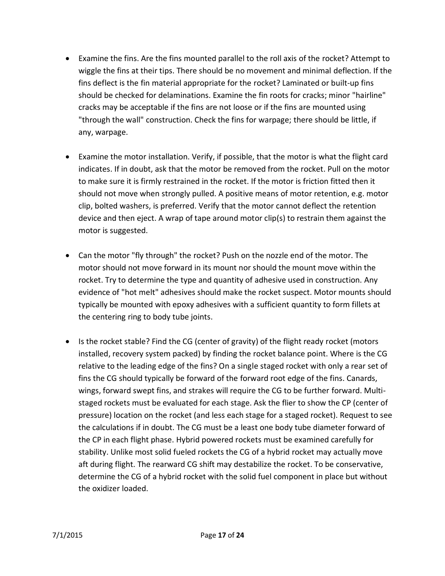- Examine the fins. Are the fins mounted parallel to the roll axis of the rocket? Attempt to wiggle the fins at their tips. There should be no movement and minimal deflection. If the fins deflect is the fin material appropriate for the rocket? Laminated or built-up fins should be checked for delaminations. Examine the fin roots for cracks; minor "hairline" cracks may be acceptable if the fins are not loose or if the fins are mounted using "through the wall" construction. Check the fins for warpage; there should be little, if any, warpage.
- Examine the motor installation. Verify, if possible, that the motor is what the flight card indicates. If in doubt, ask that the motor be removed from the rocket. Pull on the motor to make sure it is firmly restrained in the rocket. If the motor is friction fitted then it should not move when strongly pulled. A positive means of motor retention, e.g. motor clip, bolted washers, is preferred. Verify that the motor cannot deflect the retention device and then eject. A wrap of tape around motor clip(s) to restrain them against the motor is suggested.
- Can the motor "fly through" the rocket? Push on the nozzle end of the motor. The motor should not move forward in its mount nor should the mount move within the rocket. Try to determine the type and quantity of adhesive used in construction. Any evidence of "hot melt" adhesives should make the rocket suspect. Motor mounts should typically be mounted with epoxy adhesives with a sufficient quantity to form fillets at the centering ring to body tube joints.
- Is the rocket stable? Find the CG (center of gravity) of the flight ready rocket (motors installed, recovery system packed) by finding the rocket balance point. Where is the CG relative to the leading edge of the fins? On a single staged rocket with only a rear set of fins the CG should typically be forward of the forward root edge of the fins. Canards, wings, forward swept fins, and strakes will require the CG to be further forward. Multistaged rockets must be evaluated for each stage. Ask the flier to show the CP (center of pressure) location on the rocket (and less each stage for a staged rocket). Request to see the calculations if in doubt. The CG must be a least one body tube diameter forward of the CP in each flight phase. Hybrid powered rockets must be examined carefully for stability. Unlike most solid fueled rockets the CG of a hybrid rocket may actually move aft during flight. The rearward CG shift may destabilize the rocket. To be conservative, determine the CG of a hybrid rocket with the solid fuel component in place but without the oxidizer loaded.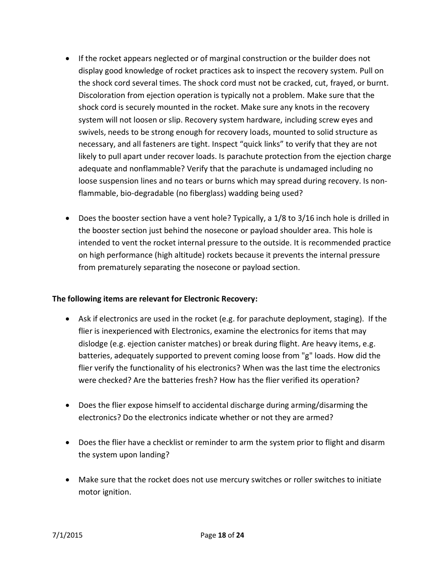- If the rocket appears neglected or of marginal construction or the builder does not display good knowledge of rocket practices ask to inspect the recovery system. Pull on the shock cord several times. The shock cord must not be cracked, cut, frayed, or burnt. Discoloration from ejection operation is typically not a problem. Make sure that the shock cord is securely mounted in the rocket. Make sure any knots in the recovery system will not loosen or slip. Recovery system hardware, including screw eyes and swivels, needs to be strong enough for recovery loads, mounted to solid structure as necessary, and all fasteners are tight. Inspect "quick links" to verify that they are not likely to pull apart under recover loads. Is parachute protection from the ejection charge adequate and nonflammable? Verify that the parachute is undamaged including no loose suspension lines and no tears or burns which may spread during recovery. Is nonflammable, bio-degradable (no fiberglass) wadding being used?
- Does the booster section have a vent hole? Typically, a 1/8 to 3/16 inch hole is drilled in the booster section just behind the nosecone or payload shoulder area. This hole is intended to vent the rocket internal pressure to the outside. It is recommended practice on high performance (high altitude) rockets because it prevents the internal pressure from prematurely separating the nosecone or payload section.

#### **The following items are relevant for Electronic Recovery:**

- Ask if electronics are used in the rocket (e.g. for parachute deployment, staging). If the flier is inexperienced with Electronics, examine the electronics for items that may dislodge (e.g. ejection canister matches) or break during flight. Are heavy items, e.g. batteries, adequately supported to prevent coming loose from "g" loads. How did the flier verify the functionality of his electronics? When was the last time the electronics were checked? Are the batteries fresh? How has the flier verified its operation?
- Does the flier expose himself to accidental discharge during arming/disarming the electronics? Do the electronics indicate whether or not they are armed?
- Does the flier have a checklist or reminder to arm the system prior to flight and disarm the system upon landing?
- Make sure that the rocket does not use mercury switches or roller switches to initiate motor ignition.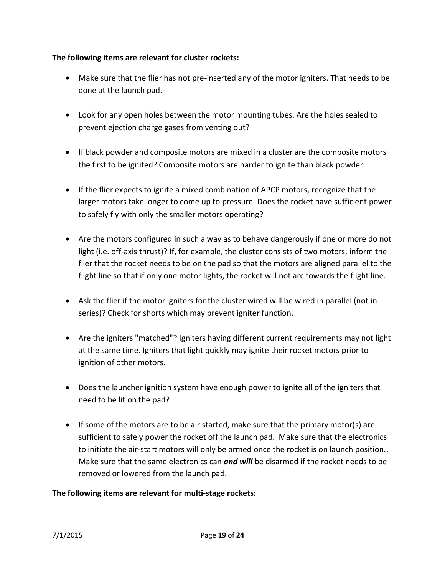#### **The following items are relevant for cluster rockets:**

- Make sure that the flier has not pre-inserted any of the motor igniters. That needs to be done at the launch pad.
- Look for any open holes between the motor mounting tubes. Are the holes sealed to prevent ejection charge gases from venting out?
- If black powder and composite motors are mixed in a cluster are the composite motors the first to be ignited? Composite motors are harder to ignite than black powder.
- If the flier expects to ignite a mixed combination of APCP motors, recognize that the larger motors take longer to come up to pressure. Does the rocket have sufficient power to safely fly with only the smaller motors operating?
- Are the motors configured in such a way as to behave dangerously if one or more do not light (i.e. off-axis thrust)? If, for example, the cluster consists of two motors, inform the flier that the rocket needs to be on the pad so that the motors are aligned parallel to the flight line so that if only one motor lights, the rocket will not arc towards the flight line.
- Ask the flier if the motor igniters for the cluster wired will be wired in parallel (not in series)? Check for shorts which may prevent igniter function.
- Are the igniters "matched"? Igniters having different current requirements may not light at the same time. Igniters that light quickly may ignite their rocket motors prior to ignition of other motors.
- Does the launcher ignition system have enough power to ignite all of the igniters that need to be lit on the pad?
- If some of the motors are to be air started, make sure that the primary motor(s) are sufficient to safely power the rocket off the launch pad. Make sure that the electronics to initiate the air-start motors will only be armed once the rocket is on launch position.. Make sure that the same electronics can *and will* be disarmed if the rocket needs to be removed or lowered from the launch pad.

#### **The following items are relevant for multi-stage rockets:**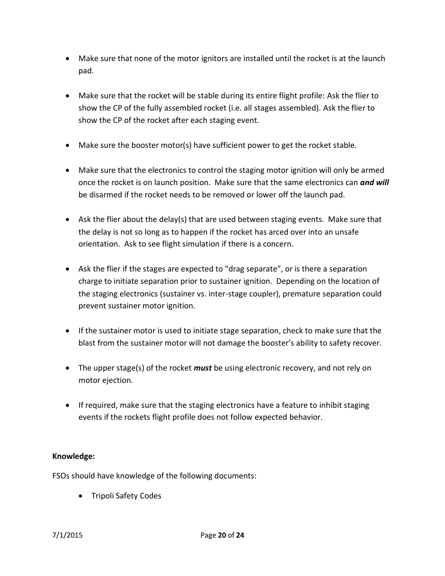- Make sure that none of the motor ignitors are installed until the rocket is at the launch pad.
- Make sure that the rocket will be stable during its entire flight profile: Ask the flier to show the CP of the fully assembled rocket (i.e. all stages assembled). Ask the flier to show the CP of the rocket after each staging event.
- Make sure the booster motor(s) have sufficient power to get the rocket stable.
- Make sure that the electronics to control the staging motor ignition will only be armed once the rocket is on launch position. Make sure that the same electronics can *and will* be disarmed if the rocket needs to be removed or lower off the launch pad.
- Ask the flier about the delay(s) that are used between staging events. Make sure that the delay is not so long as to happen if the rocket has arced over into an unsafe orientation. Ask to see flight simulation if there is a concern.
- Ask the flier if the stages are expected to "drag separate", or is there a separation charge to initiate separation prior to sustainer ignition. Depending on the location of the staging electronics (sustainer vs. inter-stage coupler), premature separation could prevent sustainer motor ignition.
- If the sustainer motor is used to initiate stage separation, check to make sure that the blast from the sustainer motor will not damage the booster's ability to safety recover.
- The upper stage(s) of the rocket *must* be using electronic recovery, and not rely on motor ejection.
- If required, make sure that the staging electronics have a feature to inhibit staging events if the rockets flight profile does not follow expected behavior.

### **Knowledge:**

FSOs should have knowledge of the following documents:

• Tripoli Safety Codes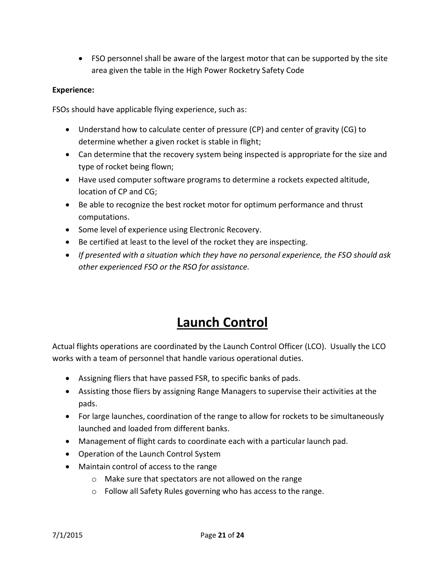FSO personnel shall be aware of the largest motor that can be supported by the site area given the table in the High Power Rocketry Safety Code

#### **Experience:**

FSOs should have applicable flying experience, such as:

- Understand how to calculate center of pressure (CP) and center of gravity (CG) to determine whether a given rocket is stable in flight;
- Can determine that the recovery system being inspected is appropriate for the size and type of rocket being flown;
- Have used computer software programs to determine a rockets expected altitude, location of CP and CG;
- Be able to recognize the best rocket motor for optimum performance and thrust computations.
- Some level of experience using Electronic Recovery.
- Be certified at least to the level of the rocket they are inspecting.
- *If presented with a situation which they have no personal experience, the FSO should ask other experienced FSO or the RSO for assistance.*

# **Launch Control**

Actual flights operations are coordinated by the Launch Control Officer (LCO). Usually the LCO works with a team of personnel that handle various operational duties.

- Assigning fliers that have passed FSR, to specific banks of pads.
- Assisting those fliers by assigning Range Managers to supervise their activities at the pads.
- For large launches, coordination of the range to allow for rockets to be simultaneously launched and loaded from different banks.
- Management of flight cards to coordinate each with a particular launch pad.
- Operation of the Launch Control System
- Maintain control of access to the range
	- o Make sure that spectators are not allowed on the range
	- o Follow all Safety Rules governing who has access to the range.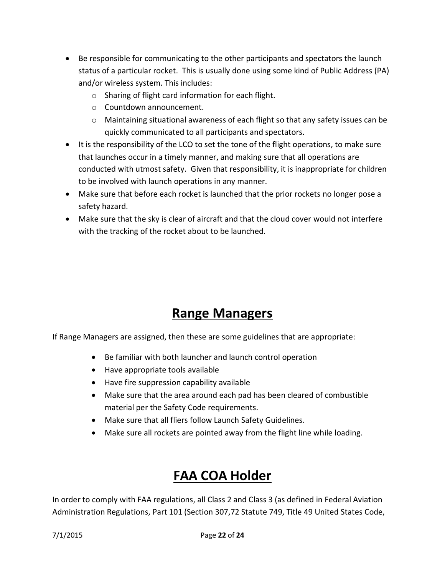- Be responsible for communicating to the other participants and spectators the launch status of a particular rocket. This is usually done using some kind of Public Address (PA) and/or wireless system. This includes:
	- o Sharing of flight card information for each flight.
	- o Countdown announcement.
	- o Maintaining situational awareness of each flight so that any safety issues can be quickly communicated to all participants and spectators.
- It is the responsibility of the LCO to set the tone of the flight operations, to make sure that launches occur in a timely manner, and making sure that all operations are conducted with utmost safety. Given that responsibility, it is inappropriate for children to be involved with launch operations in any manner.
- Make sure that before each rocket is launched that the prior rockets no longer pose a safety hazard.
- Make sure that the sky is clear of aircraft and that the cloud cover would not interfere with the tracking of the rocket about to be launched.

## **Range Managers**

If Range Managers are assigned, then these are some guidelines that are appropriate:

- Be familiar with both launcher and launch control operation
- Have appropriate tools available
- Have fire suppression capability available
- Make sure that the area around each pad has been cleared of combustible material per the Safety Code requirements.
- Make sure that all fliers follow Launch Safety Guidelines.
- Make sure all rockets are pointed away from the flight line while loading.

# **FAA COA Holder**

In order to comply with FAA regulations, all Class 2 and Class 3 (as defined in Federal Aviation Administration Regulations, Part 101 (Section 307,72 Statute 749, Title 49 United States Code,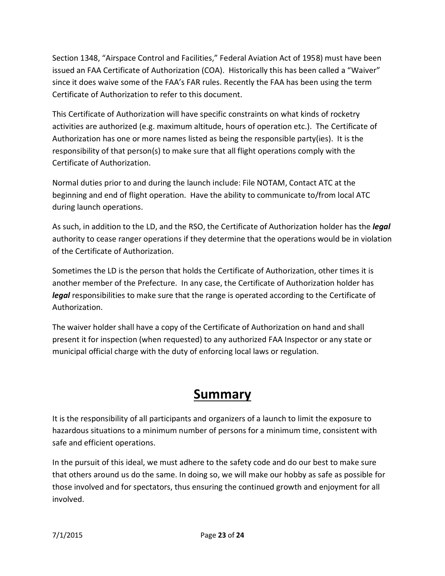Section 1348, "Airspace Control and Facilities," Federal Aviation Act of 1958) must have been issued an FAA Certificate of Authorization (COA). Historically this has been called a "Waiver" since it does waive some of the FAA's FAR rules. Recently the FAA has been using the term Certificate of Authorization to refer to this document.

This Certificate of Authorization will have specific constraints on what kinds of rocketry activities are authorized (e.g. maximum altitude, hours of operation etc.). The Certificate of Authorization has one or more names listed as being the responsible party(ies). It is the responsibility of that person(s) to make sure that all flight operations comply with the Certificate of Authorization.

Normal duties prior to and during the launch include: File NOTAM, Contact ATC at the beginning and end of flight operation. Have the ability to communicate to/from local ATC during launch operations.

As such, in addition to the LD, and the RSO, the Certificate of Authorization holder has the *legal* authority to cease ranger operations if they determine that the operations would be in violation of the Certificate of Authorization.

Sometimes the LD is the person that holds the Certificate of Authorization, other times it is another member of the Prefecture. In any case, the Certificate of Authorization holder has *legal* responsibilities to make sure that the range is operated according to the Certificate of Authorization.

The waiver holder shall have a copy of the Certificate of Authorization on hand and shall present it for inspection (when requested) to any authorized FAA Inspector or any state or municipal official charge with the duty of enforcing local laws or regulation.

## **Summary**

It is the responsibility of all participants and organizers of a launch to limit the exposure to hazardous situations to a minimum number of persons for a minimum time, consistent with safe and efficient operations.

In the pursuit of this ideal, we must adhere to the safety code and do our best to make sure that others around us do the same. In doing so, we will make our hobby as safe as possible for those involved and for spectators, thus ensuring the continued growth and enjoyment for all involved.